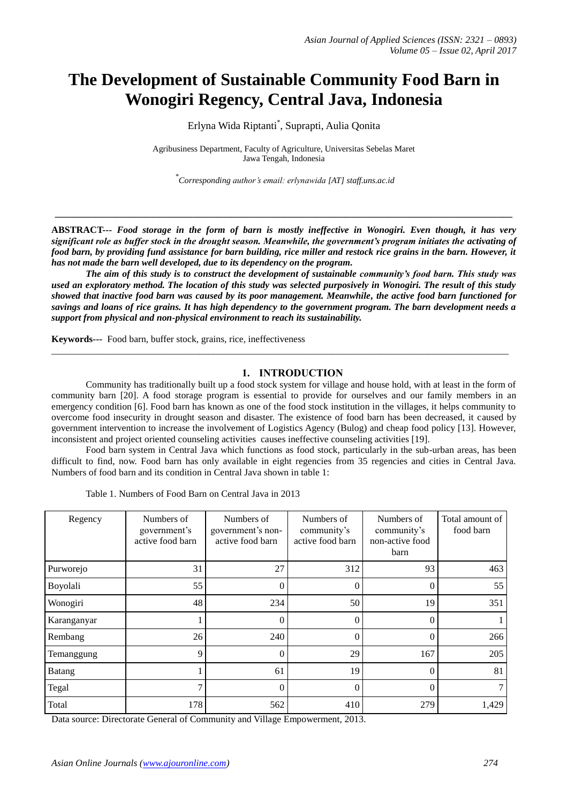# **The Development of Sustainable Community Food Barn in Wonogiri Regency, Central Java, Indonesia**

Erlyna Wida Riptanti\* , Suprapti, Aulia Qonita

Agribusiness Department, Faculty of Agriculture, Universitas Sebelas Maret Jawa Tengah, Indonesia

\* *Corresponding author's email: erlynawida [AT] staff.uns.ac.id*

**ABSTRACT---** *Food storage in the form of barn is mostly ineffective in Wonogiri. Even though, it has very significant role as buffer stock in the drought season. Meanwhile, the government's program initiates the activating of food barn, by providing fund assistance for barn building, rice miller and restock rice grains in the barn. However, it has not made the barn well developed, due to its dependency on the program.* 

**\_\_\_\_\_\_\_\_\_\_\_\_\_\_\_\_\_\_\_\_\_\_\_\_\_\_\_\_\_\_\_\_\_\_\_\_\_\_\_\_\_\_\_\_\_\_\_\_\_\_\_\_\_\_\_\_\_\_\_\_\_\_\_\_\_\_\_\_\_\_\_\_\_\_\_\_\_\_\_\_\_\_\_\_\_\_\_\_\_\_\_\_\_\_\_\_**

*The aim of this study is to construct the development of sustainable community's food barn. This study was used an exploratory method. The location of this study was selected purposively in Wonogiri. The result of this study showed that inactive food barn was caused by its poor management. Meanwhile, the active food barn functioned for savings and loans of rice grains. It has high dependency to the government program. The barn development needs a support from physical and non-physical environment to reach its sustainability.*

\_\_\_\_\_\_\_\_\_\_\_\_\_\_\_\_\_\_\_\_\_\_\_\_\_\_\_\_\_\_\_\_\_\_\_\_\_\_\_\_\_\_\_\_\_\_\_\_\_\_\_\_\_\_\_\_\_\_\_\_\_\_\_\_\_\_\_\_\_\_\_\_\_\_\_\_\_\_\_\_\_\_\_\_\_\_\_\_\_\_\_\_\_\_\_\_

**Keywords---** Food barn, buffer stock, grains, rice, ineffectiveness

# **1. INTRODUCTION**

Community has traditionally built up a food stock system for village and house hold, with at least in the form of community barn [20]. A food storage program is essential to provide for ourselves and our family members in an emergency condition [6]. Food barn has known as one of the food stock institution in the villages, it helps community to overcome food insecurity in drought season and disaster. The existence of food barn has been decreased, it caused by government intervention to increase the involvement of Logistics Agency (Bulog) and cheap food policy [13]. However, inconsistent and project oriented counseling activities causes ineffective counseling activities [19].

Food barn system in Central Java which functions as food stock, particularly in the sub-urban areas, has been difficult to find, now. Food barn has only available in eight regencies from 35 regencies and cities in Central Java. Numbers of food barn and its condition in Central Java shown in table 1:

| Regency       | Numbers of<br>government's<br>active food barn | Numbers of<br>government's non-<br>active food barn | Numbers of<br>community's<br>active food barn | Numbers of<br>community's<br>non-active food<br>barn | Total amount of<br>food barn |
|---------------|------------------------------------------------|-----------------------------------------------------|-----------------------------------------------|------------------------------------------------------|------------------------------|
| Purworejo     | 31                                             | 27                                                  | 312                                           | 93                                                   | 463                          |
| Boyolali      | 55                                             | $\theta$                                            | $\theta$                                      | $\theta$                                             | 55                           |
| Wonogiri      | 48                                             | 234                                                 | 50                                            | 19                                                   | 351                          |
| Karanganyar   |                                                | $\Omega$                                            | $\theta$                                      | 0                                                    |                              |
| Rembang       | 26                                             | 240                                                 | $\theta$                                      | $\Omega$                                             | 266                          |
| Temanggung    | 9                                              | $\theta$                                            | 29                                            | 167                                                  | 205                          |
| <b>Batang</b> |                                                | 61                                                  | 19                                            | $\theta$                                             | 81                           |
| Tegal         | 7                                              | $\theta$                                            | $\Omega$                                      | $\theta$                                             | $7\phantom{.0}$              |
| Total         | 178                                            | 562                                                 | 410                                           | 279                                                  | 1,429                        |

Table 1. Numbers of Food Barn on Central Java in 2013

Data source: Directorate General of Community and Village Empowerment, 2013.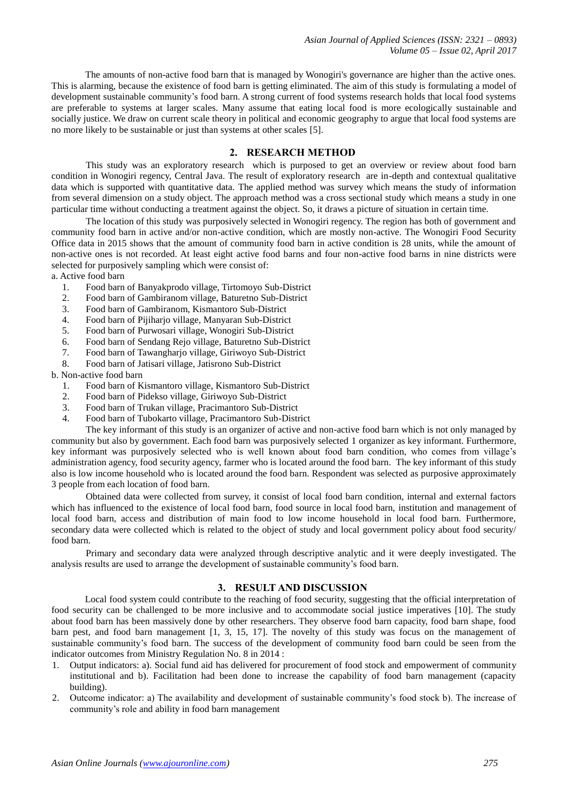*Asian Journal of Applied Sciences (ISSN: 2321 – 0893) Volume 05 – Issue 02, April 2017*

The amounts of non-active food barn that is managed by Wonogiri's governance are higher than the active ones. This is alarming, because the existence of food barn is getting eliminated. The aim of this study is formulating a model of development sustainable community's food barn. A strong current of food systems research holds that local food systems are preferable to systems at larger scales. Many assume that eating local food is more ecologically sustainable and socially justice. We draw on current scale theory in political and economic geography to argue that local food systems are no more likely to be sustainable or just than systems at other scales [5].

#### **2. RESEARCH METHOD**

This study was an exploratory research which is purposed to get an overview or review about food barn condition in Wonogiri regency, Central Java. The result of exploratory research are in-depth and contextual qualitative data which is supported with quantitative data. The applied method was survey which means the study of information from several dimension on a study object. The approach method was a cross sectional study which means a study in one particular time without conducting a treatment against the object. So, it draws a picture of situation in certain time.

The location of this study was purposively selected in Wonogiri regency. The region has both of government and community food barn in active and/or non-active condition, which are mostly non-active. The Wonogiri Food Security Office data in 2015 shows that the amount of community food barn in active condition is 28 units, while the amount of non-active ones is not recorded. At least eight active food barns and four non-active food barns in nine districts were selected for purposively sampling which were consist of:

a. Active food barn

- 1. Food barn of Banyakprodo village, Tirtomoyo Sub-District
- 2. Food barn of Gambiranom village, Baturetno Sub-District
- 3. Food barn of Gambiranom, Kismantoro Sub-District
- 4. Food barn of Pijiharjo village, Manyaran Sub-District
- 5. Food barn of Purwosari village, Wonogiri Sub-District
- 6. Food barn of Sendang Rejo village, Baturetno Sub-District
- 7. Food barn of Tawangharjo village, Giriwoyo Sub-District
- 8. Food barn of Jatisari village, Jatisrono Sub-District

b. Non-active food barn

- 1. Food barn of Kismantoro village, Kismantoro Sub-District
- 2. Food barn of Pidekso village, Giriwoyo Sub-District
- 3. Food barn of Trukan village, Pracimantoro Sub-District
- 4. Food barn of Tubokarto village, Pracimantoro Sub-District

The key informant of this study is an organizer of active and non-active food barn which is not only managed by community but also by government. Each food barn was purposively selected 1 organizer as key informant. Furthermore, key informant was purposively selected who is well known about food barn condition, who comes from village's administration agency, food security agency, farmer who is located around the food barn. The key informant of this study also is low income household who is located around the food barn. Respondent was selected as purposive approximately 3 people from each location of food barn.

Obtained data were collected from survey, it consist of local food barn condition, internal and external factors which has influenced to the existence of local food barn, food source in local food barn, institution and management of local food barn, access and distribution of main food to low income household in local food barn. Furthermore, secondary data were collected which is related to the object of study and local government policy about food security/ food barn.

Primary and secondary data were analyzed through descriptive analytic and it were deeply investigated. The analysis results are used to arrange the development of sustainable community's food barn.

## **3. RESULT AND DISCUSSION**

Local food system could contribute to the reaching of food security, suggesting that the official interpretation of food security can be challenged to be more inclusive and to accommodate social justice imperatives [10]. The study about food barn has been massively done by other researchers. They observe food barn capacity, food barn shape, food barn pest, and food barn management [1, 3, 15, 17]. The novelty of this study was focus on the management of sustainable community's food barn. The success of the development of community food barn could be seen from the indicator outcomes from Ministry Regulation No. 8 in 2014 :

- 1. Output indicators: a). Social fund aid has delivered for procurement of food stock and empowerment of community institutional and b). Facilitation had been done to increase the capability of food barn management (capacity building).
- 2. Outcome indicator: a) The availability and development of sustainable community's food stock b). The increase of community's role and ability in food barn management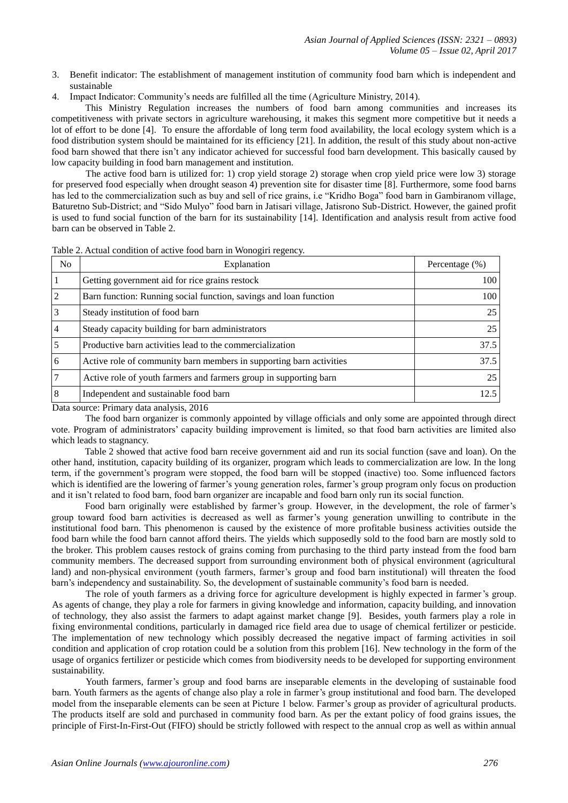- 3. Benefit indicator: The establishment of management institution of community food barn which is independent and sustainable
- 4. Impact Indicator: Community's needs are fulfilled all the time (Agriculture Ministry, 2014).

This Ministry Regulation increases the numbers of food barn among communities and increases its competitiveness with private sectors in agriculture warehousing, it makes this segment more competitive but it needs a lot of effort to be done [4]. To ensure the affordable of long term food availability, the local ecology system which is a food distribution system should be maintained for its efficiency [21]. In addition, the result of this study about non-active food barn showed that there isn't any indicator achieved for successful food barn development. This basically caused by low capacity building in food barn management and institution.

The active food barn is utilized for: 1) crop yield storage 2) storage when crop yield price were low 3) storage for preserved food especially when drought season 4) prevention site for disaster time [8]. Furthermore, some food barns has led to the commercialization such as buy and sell of rice grains, i.e "Kridho Boga" food barn in Gambiranom village, Baturetno Sub-District; and "Sido Mulyo" food barn in Jatisari village, Jatisrono Sub-District. However, the gained profit is used to fund social function of the barn for its sustainability [14]. Identification and analysis result from active food barn can be observed in Table 2.

| N <sub>o</sub> | Explanation                                                         | Percentage $(\%)$ |
|----------------|---------------------------------------------------------------------|-------------------|
|                | Getting government aid for rice grains restock                      | 100               |
| $\overline{2}$ | Barn function: Running social function, savings and loan function   | 100               |
| 3              | Steady institution of food barn                                     | 25                |
| 4              | Steady capacity building for barn administrators                    | 25                |
|                | Productive barn activities lead to the commercialization            | 37.5              |
| 6              | Active role of community barn members in supporting barn activities | 37.5              |
|                | Active role of youth farmers and farmers group in supporting barn   | 25                |
| 8              | Independent and sustainable food barn                               | 12.5              |

Table 2. Actual condition of active food barn in Wonogiri regency.

Data source: Primary data analysis, 2016

The food barn organizer is commonly appointed by village officials and only some are appointed through direct vote. Program of administrators' capacity building improvement is limited, so that food barn activities are limited also which leads to stagnancy.

Table 2 showed that active food barn receive government aid and run its social function (save and loan). On the other hand, institution, capacity building of its organizer, program which leads to commercialization are low. In the long term, if the government's program were stopped, the food barn will be stopped (inactive) too. Some influenced factors which is identified are the lowering of farmer's young generation roles, farmer's group program only focus on production and it isn't related to food barn, food barn organizer are incapable and food barn only run its social function.

Food barn originally were established by farmer's group. However, in the development, the role of farmer's group toward food barn activities is decreased as well as farmer's young generation unwilling to contribute in the institutional food barn. This phenomenon is caused by the existence of more profitable business activities outside the food barn while the food barn cannot afford theirs. The yields which supposedly sold to the food barn are mostly sold to the broker. This problem causes restock of grains coming from purchasing to the third party instead from the food barn community members. The decreased support from surrounding environment both of physical environment (agricultural land) and non-physical environment (youth farmers, farmer's group and food barn institutional) will threaten the food barn's independency and sustainability. So, the development of sustainable community's food barn is needed.

The role of youth farmers as a driving force for agriculture development is highly expected in farmer's group. As agents of change, they play a role for farmers in giving knowledge and information, capacity building, and innovation of technology, they also assist the farmers to adapt against market change [9]. Besides, youth farmers play a role in fixing environmental conditions, particularly in damaged rice field area due to usage of chemical fertilizer or pesticide. The implementation of new technology which possibly decreased the negative impact of farming activities in soil condition and application of crop rotation could be a solution from this problem [16]. New technology in the form of the usage of organics fertilizer or pesticide which comes from biodiversity needs to be developed for supporting environment sustainability.

Youth farmers, farmer's group and food barns are inseparable elements in the developing of sustainable food barn. Youth farmers as the agents of change also play a role in farmer's group institutional and food barn. The developed model from the inseparable elements can be seen at Picture 1 below. Farmer's group as provider of agricultural products. The products itself are sold and purchased in community food barn. As per the extant policy of food grains issues, the principle of First-In-First-Out (FIFO) should be strictly followed with respect to the annual crop as well as within annual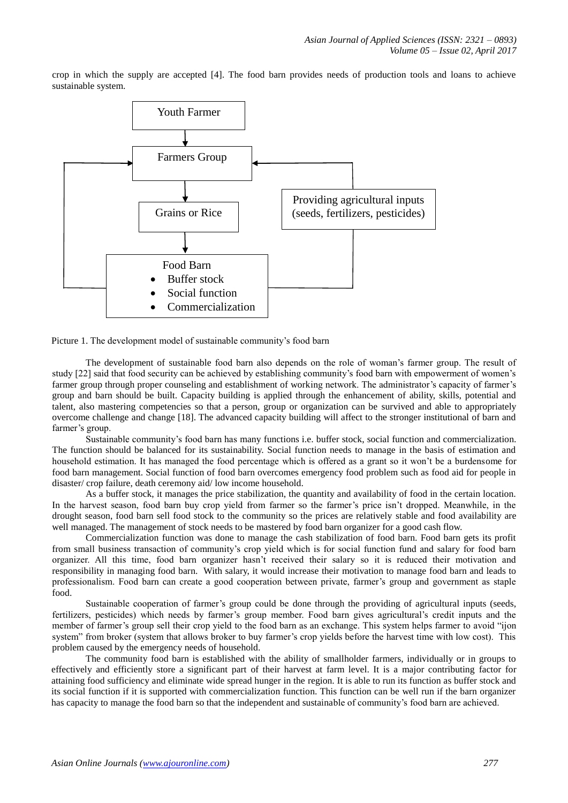crop in which the supply are accepted [4]. The food barn provides needs of production tools and loans to achieve sustainable system.





The development of sustainable food barn also depends on the role of woman's farmer group. The result of study [22] said that food security can be achieved by establishing community's food barn with empowerment of women's farmer group through proper counseling and establishment of working network. The administrator's capacity of farmer's group and barn should be built. Capacity building is applied through the enhancement of ability, skills, potential and talent, also mastering competencies so that a person, group or organization can be survived and able to appropriately overcome challenge and change [18]. The advanced capacity building will affect to the stronger institutional of barn and farmer's group.

Sustainable community's food barn has many functions i.e. buffer stock, social function and commercialization. The function should be balanced for its sustainability. Social function needs to manage in the basis of estimation and household estimation. It has managed the food percentage which is offered as a grant so it won't be a burdensome for food barn management. Social function of food barn overcomes emergency food problem such as food aid for people in disaster/ crop failure, death ceremony aid/ low income household.

As a buffer stock, it manages the price stabilization, the quantity and availability of food in the certain location. In the harvest season, food barn buy crop yield from farmer so the farmer's price isn't dropped. Meanwhile, in the drought season, food barn sell food stock to the community so the prices are relatively stable and food availability are well managed. The management of stock needs to be mastered by food barn organizer for a good cash flow.

Commercialization function was done to manage the cash stabilization of food barn. Food barn gets its profit from small business transaction of community's crop yield which is for social function fund and salary for food barn organizer. All this time, food barn organizer hasn't received their salary so it is reduced their motivation and responsibility in managing food barn. With salary, it would increase their motivation to manage food barn and leads to professionalism. Food barn can create a good cooperation between private, farmer's group and government as staple food.

Sustainable cooperation of farmer's group could be done through the providing of agricultural inputs (seeds, fertilizers, pesticides) which needs by farmer's group member. Food barn gives agricultural's credit inputs and the member of farmer's group sell their crop yield to the food barn as an exchange. This system helps farmer to avoid "ijon system" from broker (system that allows broker to buy farmer's crop yields before the harvest time with low cost). This problem caused by the emergency needs of household.

The community food barn is established with the ability of smallholder farmers, individually or in groups to effectively and efficiently store a significant part of their harvest at farm level. It is a major contributing factor for attaining food sufficiency and eliminate wide spread hunger in the region. It is able to run its function as buffer stock and its social function if it is supported with commercialization function. This function can be well run if the barn organizer has capacity to manage the food barn so that the independent and sustainable of community's food barn are achieved.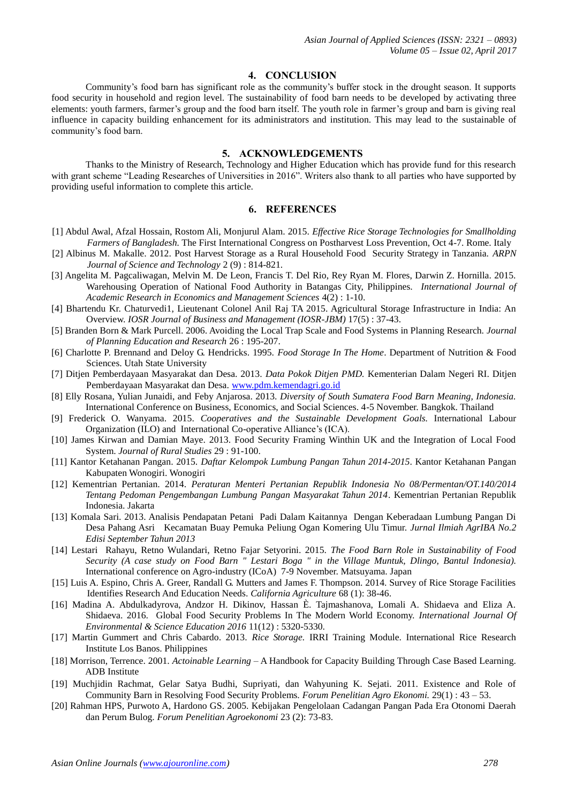#### **4. CONCLUSION**

Community's food barn has significant role as the community's buffer stock in the drought season. It supports food security in household and region level. The sustainability of food barn needs to be developed by activating three elements: youth farmers, farmer's group and the food barn itself. The youth role in farmer's group and barn is giving real influence in capacity building enhancement for its administrators and institution. This may lead to the sustainable of community's food barn.

# **5. ACKNOWLEDGEMENTS**

Thanks to the Ministry of Research, Technology and Higher Education which has provide fund for this research with grant scheme "Leading Researches of Universities in 2016". Writers also thank to all parties who have supported by providing useful information to complete this article.

## **6. REFERENCES**

- [1] Abdul Awal, Afzal Hossain, Rostom Ali, Monjurul Alam. 2015. *Effective Rice Storage Technologies for Smallholding Farmers of Bangladesh.* The First International Congress on Postharvest Loss Prevention, Oct 4-7. Rome. Italy
- [2] Albinus M. Makalle. 2012. Post Harvest Storage as a Rural Household Food Security Strategy in Tanzania. *ARPN Journal of Science and Technology* 2 (9) : 814-821.
- [3] Angelita M. Pagcaliwagan, Melvin M. De Leon, Francis T. Del Rio, Rey Ryan M. Flores, Darwin Z. Hornilla. 2015. Warehousing Operation of National Food Authority in Batangas City, Philippines. *International Journal of Academic Research in Economics and Management Sciences* 4(2) : 1-10.
- [4] Bhartendu Kr. Chaturvedi1, Lieutenant Colonel Anil Raj TA 2015. Agricultural Storage Infrastructure in India: An Overview. *IOSR Journal of Business and Management (IOSR-JBM)* 17(5) : 37-43.
- [5] Branden Born & Mark Purcell. 2006. Avoiding the Local Trap Scale and Food Systems in Planning Research. *Journal of Planning Education and Research* 26 : 195-207.
- [6] Charlotte P. Brennand and Deloy G. Hendricks. 1995. *Food Storage In The Home*. Department of Nutrition & Food Sciences. Utah State University
- [7] Ditjen Pemberdayaan Masyarakat dan Desa. 2013. *Data Pokok Ditjen PMD.* Kementerian Dalam Negeri RI. Ditjen Pemberdayaan Masyarakat dan Desa. [www.pdm.kemendagri.go.id](http://www.pdm.kemendagri.go.id/)
- [8] Elly Rosana, Yulian Junaidi, and Feby Anjarosa. 2013. *Diversity of South Sumatera Food Barn Meaning, Indonesia.* International Conference on Business, Economics, and Social Sciences. 4-5 November. Bangkok. Thailand
- [9] Frederick O. Wanyama. 2015. *Cooperatives and the Sustainable Development Goals.* International Labour Organization (ILO) and International Co-operative Alliance's (ICA).
- [10] James Kirwan and Damian Maye. 2013. Food Security Framing Winthin UK and the Integration of Local Food System. *Journal of Rural Studies* 29 : 91-100.
- [11] Kantor Ketahanan Pangan. 2015. *Daftar Kelompok Lumbung Pangan Tahun 2014-2015*. Kantor Ketahanan Pangan Kabupaten Wonogiri. Wonogiri
- [12] Kementrian Pertanian. 2014. *Peraturan Menteri Pertanian Republik Indonesia No 08/Permentan/OT.140/2014 Tentang Pedoman Pengembangan Lumbung Pangan Masyarakat Tahun 2014*. Kementrian Pertanian Republik Indonesia. Jakarta
- [13] Komala Sari. 2013. Analisis Pendapatan Petani Padi Dalam Kaitannya Dengan Keberadaan Lumbung Pangan Di Desa Pahang Asri Kecamatan Buay Pemuka Peliung Ogan Komering Ulu Timur. *Jurnal Ilmiah AgrIBA No.2 Edisi September Tahun 2013*
- [14] Lestari Rahayu, Retno Wulandari, Retno Fajar Setyorini. 2015. *The Food Barn Role in Sustainability of Food Security (A case study on Food Barn " Lestari Boga " in the Village Muntuk, Dlingo, Bantul Indonesia).* International conference on Agro-industry (ICoA) 7-9 November. Matsuyama. Japan
- [15] Luis A. Espino, Chris A. Greer, Randall G. Mutters and James F. Thompson. 2014. Survey of Rice Storage Facilities Identifies Research And Education Needs. *California Agriculture* 68 (1): 38-46.
- [16] Madina A. Abdulkadyrova, Andzor H. Dikinov, Hassan È. Tajmashanova, Lomali A. Shidaeva and Eliza A. Shidaeva. 2016. Global Food Security Problems In The Modern World Economy. *International Journal Of Environmental & Science Education 2016* 11(12) : 5320-5330.
- [17] Martin Gummert and Chris Cabardo. 2013. *Rice Storage.* IRRI Training Module. International Rice Research Institute Los Banos. Philippines
- [18] Morrison, Terrence. 2001. *Actoinable Learning* A Handbook for Capacity Building Through Case Based Learning. ADB Institute
- [19] Muchjidin Rachmat, Gelar Satya Budhi, Supriyati, dan Wahyuning K. Sejati. 2011. Existence and Role of Community Barn in Resolving Food Security Problems. *Forum Penelitian Agro Ekonomi.* 29(1) : 43 – 53.
- [20] Rahman HPS, Purwoto A, Hardono GS. 2005. Kebijakan Pengelolaan Cadangan Pangan Pada Era Otonomi Daerah dan Perum Bulog. *Forum Penelitian Agroekonomi* 23 (2): 73-83.